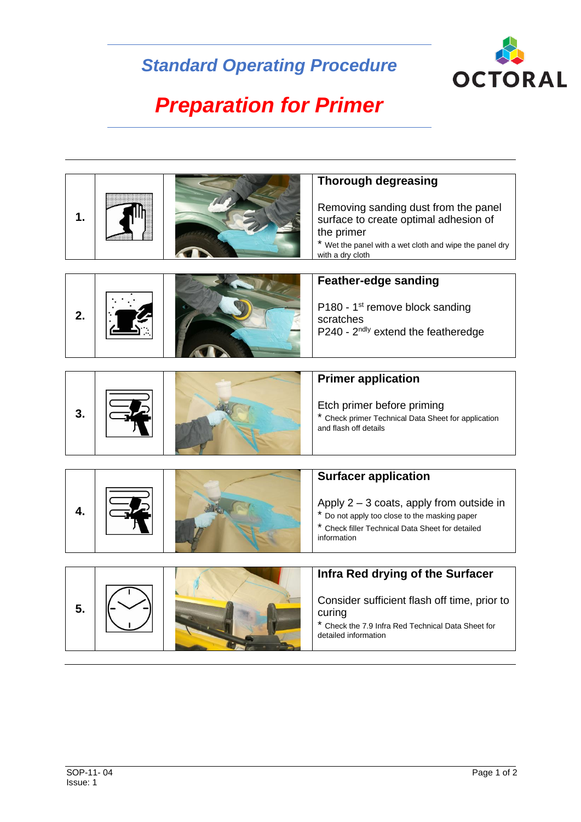## *Standard Operating Procedure*



## *Preparation for Primer*